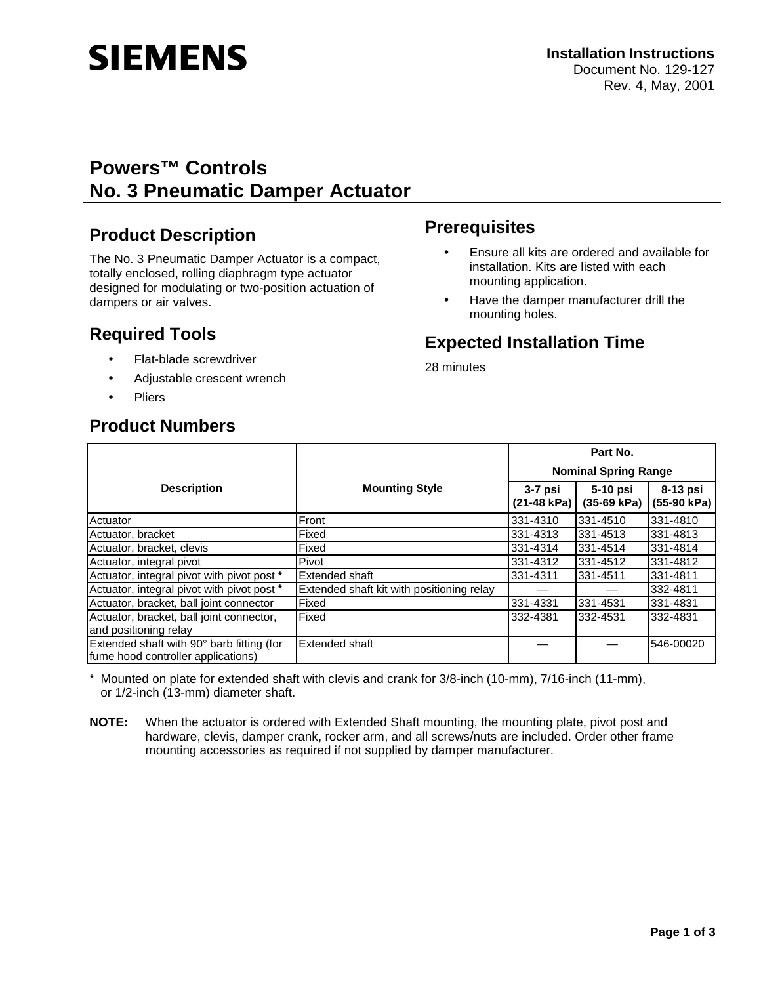# **SIEMENS**

# **Powers™ Controls No. 3 Pneumatic Damper Actuator**

## **Product Description**

The No. 3 Pneumatic Damper Actuator is a compact, totally enclosed, rolling diaphragm type actuator designed for modulating or two-position actuation of dampers or air valves.

# **Required Tools**

- Flat-blade screwdriver
- Adjustable crescent wrench
- **Pliers**

## **Product Numbers**

# **Prerequisites**

- Ensure all kits are ordered and available for installation. Kits are listed with each mounting application.
- Have the damper manufacturer drill the mounting holes.

# **Expected Installation Time**

28 minutes

|                                                                                 |                                           | Part No.                    |                           |                         |
|---------------------------------------------------------------------------------|-------------------------------------------|-----------------------------|---------------------------|-------------------------|
|                                                                                 |                                           | <b>Nominal Spring Range</b> |                           |                         |
| <b>Description</b>                                                              | <b>Mounting Style</b>                     | 3-7 psi<br>(21-48 kPa)      | 5-10 psi<br>$(35-69 kPa)$ | 8-13 psi<br>(55-90 kPa) |
| Actuator                                                                        | Front                                     | 331-4310                    | 331-4510                  | 331-4810                |
| Actuator, bracket                                                               | Fixed                                     | 331-4313                    | 331-4513                  | 331-4813                |
| Actuator, bracket, clevis                                                       | Fixed                                     | 331-4314                    | 331-4514                  | 331-4814                |
| Actuator, integral pivot                                                        | Pivot                                     | 331-4312                    | 331-4512                  | 331-4812                |
| Actuator, integral pivot with pivot post *                                      | Extended shaft                            | 331-4311                    | 331-4511                  | 331-4811                |
| Actuator, integral pivot with pivot post *                                      | Extended shaft kit with positioning relay |                             |                           | 332-4811                |
| Actuator, bracket, ball joint connector                                         | Fixed                                     | 331-4331                    | 331-4531                  | 331-4831                |
| Actuator, bracket, ball joint connector,                                        | Fixed                                     | 332-4381                    | 332-4531                  | 332-4831                |
| and positioning relay                                                           |                                           |                             |                           |                         |
| Extended shaft with 90° barb fitting (for<br>fume hood controller applications) | Extended shaft                            |                             |                           | 546-00020               |

\* Mounted on plate for extended shaft with clevis and crank for 3/8-inch (10-mm), 7/16-inch (11-mm), or 1/2-inch (13-mm) diameter shaft.

**NOTE:** When the actuator is ordered with Extended Shaft mounting, the mounting plate, pivot post and hardware, clevis, damper crank, rocker arm, and all screws/nuts are included. Order other frame mounting accessories as required if not supplied by damper manufacturer.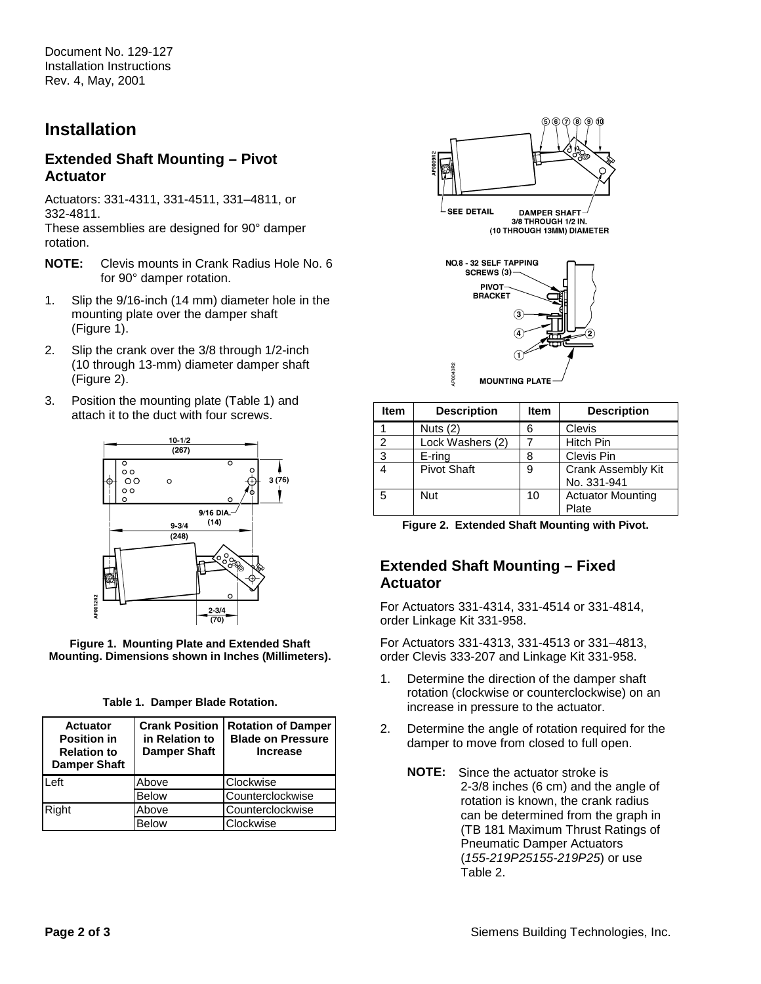Document No. 129-127 Installation Instructions Rev. 4, May, 2001

## **Installation**

#### **Extended Shaft Mounting – Pivot Actuator**

Actuators: 331-4311, 331-4511, 331–4811, or 332-4811.

These assemblies are designed for 90° damper rotation.

- **NOTE:** Clevis mounts in Crank Radius Hole No. 6 for 90° damper rotation.
- 1. Slip the 9/16-inch (14 mm) diameter hole in the mounting plate over the damper shaft (Figure 1).
- 2. Slip the crank over the 3/8 through 1/2-inch (10 through 13-mm) diameter damper shaft (Figure 2).
- 3. Position the mounting plate (Table 1) and attach it to the duct with four screws.



**Figure 1. Mounting Plate and Extended Shaft Mounting. Dimensions shown in Inches (Millimeters).** 

| <b>Actuator</b><br><b>Position in</b><br><b>Relation to</b><br><b>Damper Shaft</b> | <b>Crank Position</b><br>in Relation to<br><b>Damper Shaft</b> | <b>Rotation of Damper</b><br><b>Blade on Pressure</b><br><b>Increase</b> |
|------------------------------------------------------------------------------------|----------------------------------------------------------------|--------------------------------------------------------------------------|
| Left                                                                               | Above                                                          | Clockwise                                                                |
|                                                                                    | <b>Below</b>                                                   | Counterclockwise                                                         |
| Right                                                                              | Above                                                          | Counterclockwise                                                         |
|                                                                                    | <b>Below</b>                                                   | Clockwise                                                                |



3/8 THROUGH 1/2 IN. (10 THROUGH 13MM) DIAMETER



| Item | <b>Description</b> | <b>Item</b> | <b>Description</b>                |
|------|--------------------|-------------|-----------------------------------|
|      | Nuts $(2)$         | 6           | Clevis                            |
| 2    | Lock Washers (2)   |             | Hitch Pin                         |
| 3    | $E$ -ring          | 8           | Clevis Pin                        |
|      | <b>Pivot Shaft</b> | 9           | Crank Assembly Kit<br>No. 331-941 |
| 5    | <b>Nut</b>         | 10          | <b>Actuator Mounting</b><br>Plate |

|  | Figure 2. Extended Shaft Mounting with Pivot. |  |  |  |  |
|--|-----------------------------------------------|--|--|--|--|
|--|-----------------------------------------------|--|--|--|--|

#### **Extended Shaft Mounting – Fixed Actuator**

For Actuators 331-4314, 331-4514 or 331-4814, order Linkage Kit 331-958.

For Actuators 331-4313, 331-4513 or 331–4813, order Clevis 333-207 and Linkage Kit 331-958.

- 1. Determine the direction of the damper shaft rotation (clockwise or counterclockwise) on an increase in pressure to the actuator.
- 2. Determine the angle of rotation required for the damper to move from closed to full open.
	- **NOTE:** Since the actuator stroke is 2-3/8 inches (6 cm) and the angle of rotation is known, the crank radius can be determined from the graph in (TB 181 Maximum Thrust Ratings of Pneumatic Damper Actuators (155-219P25155-219P25) or use Table 2.